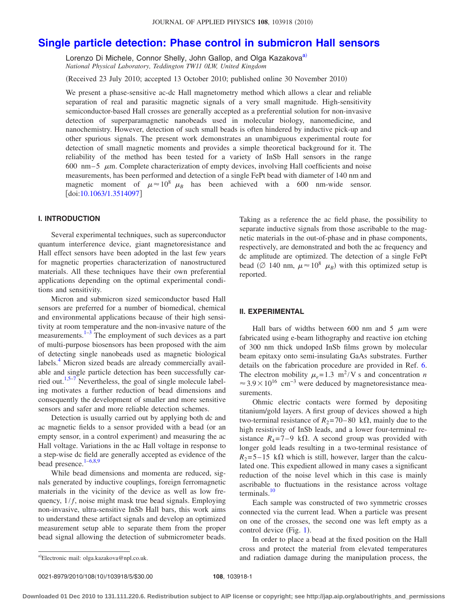# **[Single particle detection: Phase control in submicron Hall sensors](http://dx.doi.org/10.1063/1.3514097)**

Lorenzo Di Michele, Connor Shelly, John Gallop, and Olga Kazakova<sup>a)</sup> *National Physical Laboratory, Teddington TW11 0LW, United Kingdom*

(Received 23 July 2010; accepted 13 October 2010; published online 30 November 2010)

We present a phase-sensitive ac-dc Hall magnetometry method which allows a clear and reliable separation of real and parasitic magnetic signals of a very small magnitude. High-sensitivity semiconductor-based Hall crosses are generally accepted as a preferential solution for non-invasive detection of superparamagnetic nanobeads used in molecular biology, nanomedicine, and nanochemistry. However, detection of such small beads is often hindered by inductive pick-up and other spurious signals. The present work demonstrates an unambiguous experimental route for detection of small magnetic moments and provides a simple theoretical background for it. The reliability of the method has been tested for a variety of InSb Hall sensors in the range 600 nm - 5  $\mu$ m. Complete characterization of empty devices, involving Hall coefficients and noise measurements, has been performed and detection of a single FePt bead with diameter of 140 nm and magnetic moment of  $\mu \approx 10^8$   $\mu_B$  has been achieved with a 600 nm-wide sensor.  $\left[$ doi[:10.1063/1.3514097](http://dx.doi.org/10.1063/1.3514097) $\right]$ 

# **I. INTRODUCTION**

Several experimental techniques, such as superconductor quantum interference device, giant magnetoresistance and Hall effect sensors have been adopted in the last few years for magnetic properties characterization of nanostructured materials. All these techniques have their own preferential applications depending on the optimal experimental conditions and sensitivity.

Micron and submicron sized semiconductor based Hall sensors are preferred for a number of biomedical, chemical and environmental applications because of their high sensitivity at room temperature and the non-invasive nature of the measurements[.1–](#page-4-0)[3](#page-4-1) The employment of such devices as a part of multi-purpose biosensors has been proposed with the aim of detecting single nanobeads used as magnetic biological labels.<sup>4</sup> Micron sized beads are already commercially available and single particle detection has been successfully car-ried out.<sup>1[,5–](#page-4-3)[7](#page-4-4)</sup> Nevertheless, the goal of single molecule labeling motivates a further reduction of bead dimensions and consequently the development of smaller and more sensitive sensors and safer and more reliable detection schemes.

Detection is usually carried out by applying both dc and ac magnetic fields to a sensor provided with a bead (or an empty sensor, in a control experiment) and measuring the ac Hall voltage. Variations in the ac Hall voltage in response to a step-wise dc field are generally accepted as evidence of the bead presence.<sup>1-[6](#page-4-5)[,8](#page-4-6)[,9](#page-4-7)</sup>

While bead dimensions and momenta are reduced, signals generated by inductive couplings, foreign ferromagnetic materials in the vicinity of the device as well as low frequency,  $1/f$ , noise might mask true bead signals. Employing non-invasive, ultra-sensitive InSb Hall bars, this work aims to understand these artifact signals and develop an optimized measurement setup able to separate them from the proper bead signal allowing the detection of submicrometer beads. Taking as a reference the ac field phase, the possibility to separate inductive signals from those ascribable to the magnetic materials in the out-of-phase and in phase components, respectively, are demonstrated and both the ac frequency and dc amplitude are optimized. The detection of a single FePt bead ( $\varnothing$  140 nm,  $\mu \approx 10^8$   $\mu_B$ ) with this optimized setup is reported.

#### **II. EXPERIMENTAL**

Hall bars of widths between 600 nm and 5  $\mu$ m were fabricated using e-beam lithography and reactive ion etching of 300 nm thick undoped InSb films grown by molecular beam epitaxy onto semi-insulating GaAs substrates. Further details on the fabrication procedure are provided in Ref. [6.](#page-4-5) The electron mobility  $\mu_e = 1.3 \text{ m}^2/\text{V}$  s and concentration *n*  $\approx$  3.9  $\times$  10<sup>16</sup> cm<sup>-3</sup> were deduced by magnetoresistance measurements.

Ohmic electric contacts were formed by depositing titanium/gold layers. A first group of devices showed a high two-terminal resistance of  $R_2$ =70–80 k $\Omega$ , mainly due to the high resistivity of InSb leads, and a lower four-terminal resistance  $R_4$ =7–9 k $\Omega$ . A second group was provided with longer gold leads resulting in a two-terminal resistance of  $R_2$ =5–15 k $\Omega$  which is still, however, larger than the calculated one. This expedient allowed in many cases a significant reduction of the noise level which in this case is mainly ascribable to fluctuations in the resistance across voltage terminals.<sup>10</sup>

Each sample was constructed of two symmetric crosses connected via the current lead. When a particle was present on one of the crosses, the second one was left empty as a control device (Fig. [1](#page-1-0)).

In order to place a bead at the fixed position on the Hall cross and protect the material from elevated temperatures and radiation damage during the manipulation process, the

a)Electronic mail: olga.kazakova@npl.co.uk.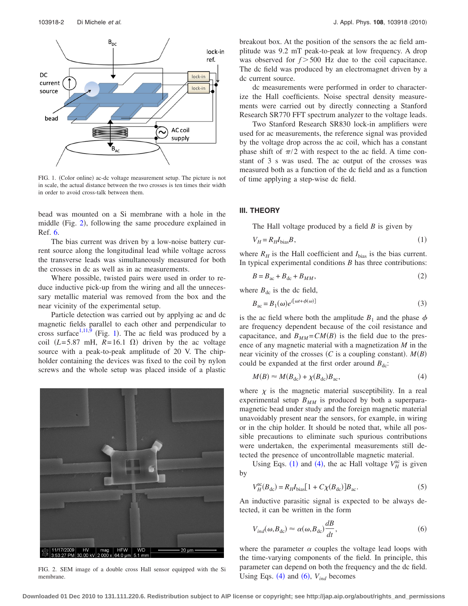<span id="page-1-0"></span>

FIG. 1. (Color online) ac-dc voltage measurement setup. The picture is not in scale, the actual distance between the two crosses is ten times their width in order to avoid cross-talk between them.

bead was mounted on a Si membrane with a hole in the middle (Fig. [2](#page-1-1)), following the same procedure explained in Ref. [6.](#page-4-5)

The bias current was driven by a low-noise battery current source along the longitudinal lead while voltage across the transverse leads was simultaneously measured for both the crosses in dc as well as in ac measurements.

Where possible, twisted pairs were used in order to reduce inductive pick-up from the wiring and all the unnecessary metallic material was removed from the box and the near vicinity of the experimental setup.

Particle detection was carried out by applying ac and dc magnetic fields parallel to each other and perpendicular to cross surface<sup>1,[11](#page-4-9)[,9](#page-4-7)</sup> (Fig. [1](#page-1-0)). The ac field was produced by a coil ( $L=5.87$  mH,  $R=16.1 \Omega$ ) driven by the ac voltage source with a peak-to-peak amplitude of 20 V. The chipholder containing the devices was fixed to the coil by nylon screws and the whole setup was placed inside of a plastic

<span id="page-1-1"></span>

FIG. 2. SEM image of a double cross Hall sensor equipped with the Si membrane.

breakout box. At the position of the sensors the ac field amplitude was 9.2 mT peak-to-peak at low frequency. A drop was observed for  $f > 500$  Hz due to the coil capacitance. The dc field was produced by an electromagnet driven by a dc current source.

dc measurements were performed in order to characterize the Hall coefficients. Noise spectral density measurements were carried out by directly connecting a Stanford Research SR770 FFT spectrum analyzer to the voltage leads.

Two Stanford Research SR830 lock-in amplifiers were used for ac measurements, the reference signal was provided by the voltage drop across the ac coil, which has a constant phase shift of  $\pi/2$  with respect to the ac field. A time constant of 3 s was used. The ac output of the crosses was measured both as a function of the dc field and as a function of time applying a step-wise dc field.

## **III. THEORY**

The Hall voltage produced by a field *B* is given by

$$
V_H = R_H I_{bias} B, \t\t(1)
$$

<span id="page-1-2"></span>where  $R_H$  is the Hall coefficient and  $I_{bias}$  is the bias current. In typical experimental conditions *B* has three contributions:

$$
B = Bac + Bdc + BMM, \t\t(2)
$$

where  $B_{\text{dc}}$  is the dc field,

$$
B_{\rm ac} = B_1(\omega)e^{i[\omega t + \phi(\omega)]} \tag{3}
$$

is the ac field where both the amplitude  $B_1$  and the phase  $\phi$ are frequency dependent because of the coil resistance and capacitance, and  $B_{MM} = CM(B)$  is the field due to the presence of any magnetic material with a magnetization *M* in the near vicinity of the crosses (C is a coupling constant).  $M(B)$ could be expanded at the first order around  $B_{dc}$ :

$$
M(B) \approx M(B_{\rm dc}) + \chi(B_{\rm dc})B_{\rm ac},\tag{4}
$$

<span id="page-1-3"></span>where  $\chi$  is the magnetic material susceptibility. In a real experimental setup  $B_{MM}$  is produced by both a superparamagnetic bead under study and the foreign magnetic material unavoidably present near the sensors, for example, in wiring or in the chip holder. It should be noted that, while all possible precautions to eliminate such spurious contributions were undertaken, the experimental measurements still detected the presence of uncontrollable magnetic material.

Using Eqs. ([1](#page-1-2)) and ([4](#page-1-3)), the ac Hall voltage  $V_H^{\text{ac}}$  is given by

$$
V_H^{\text{ac}}(B_{\text{dc}}) = R_H I_{\text{bias}} [1 + C \chi(B_{\text{dc}})] B_{\text{ac}}.
$$
 (5)

An inductive parasitic signal is expected to be always detected, it can be written in the form

<span id="page-1-4"></span>
$$
V_{ind}(\omega, B_{\rm dc}) \approx \alpha(\omega, B_{\rm dc}) \frac{dB}{dt},\qquad(6)
$$

where the parameter  $\alpha$  couples the voltage lead loops with the time-varying components of the field. In principle, this parameter can depend on both the frequency and the dc field. Using Eqs. ([4](#page-1-3)) and ([6](#page-1-4)),  $V_{ind}$  becomes

**Downloaded 01 Dec 2010 to 131.111.220.6. Redistribution subject to AIP license or copyright; see http://jap.aip.org/about/rights\_and\_permissions**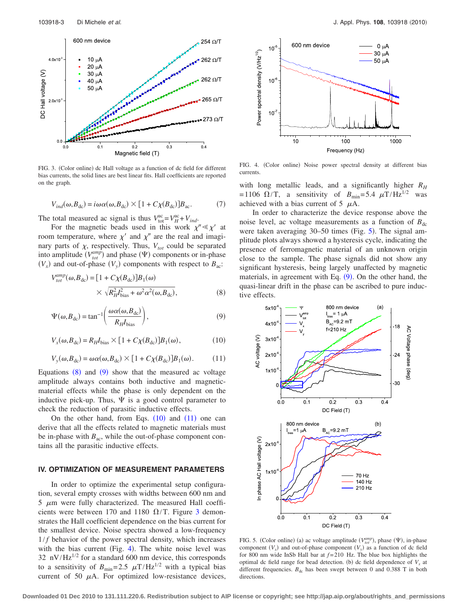<span id="page-2-4"></span>

FIG. 3. (Color online) dc Hall voltage as a function of dc field for different bias currents, the solid lines are best linear fits. Hall coefficients are reported on the graph.

$$
V_{ind}(\omega, B_{\rm dc}) = i\omega\alpha(\omega, B_{\rm dc}) \times [1 + C\chi(B_{\rm dc})]B_{\rm ac}.\tag{7}
$$

The total measured ac signal is thus  $V_{\text{tot}}^{\text{ac}} = V_H^{\text{ac}} + V_{ind}$ .

For the magnetic beads used in this work  $\chi'' \ll \chi'$  at room temperature, where  $\chi'$  and  $\chi''$  are the real and imaginary parts of  $\chi$ , respectively. Thus,  $V_{tot}$  could be separated into amplitude  $(V_{tot}^{amp})$  and phase  $(\Psi)$  components or in-phase  $(V_x)$  and out-of-phase  $(V_y)$  components with respect to  $B_{ac}$ .

<span id="page-2-0"></span>
$$
V_{tot}^{amp}(\omega, B_{\text{dc}}) = [1 + C\chi(B_{\text{dc}})]B_1(\omega)
$$
  
 
$$
\times \sqrt{R_H^2 I_{\text{bias}}^2 + \omega^2 \alpha^2(\omega, B_{\text{dc}})},
$$
 (8)

<span id="page-2-1"></span>
$$
\Psi(\omega, B_{\rm dc}) = \tan^{-1} \left( \frac{\omega \alpha(\omega, B_{\rm dc})}{R_H I_{\rm bias}} \right),\tag{9}
$$

<span id="page-2-2"></span>
$$
V_x(\omega, B_{\rm dc}) = R_H I_{\rm bias} \times [1 + C\chi(B_{\rm dc})] B_1(\omega),\tag{10}
$$

<span id="page-2-3"></span>
$$
V_{y}(\omega, B_{\text{dc}}) = \omega \alpha(\omega, B_{\text{dc}}) \times [1 + C\chi(B_{\text{dc}})]B_{1}(\omega). \tag{11}
$$

Equations  $(8)$  $(8)$  $(8)$  and  $(9)$  $(9)$  $(9)$  show that the measured ac voltage amplitude always contains both inductive and magneticmaterial effects while the phase is only dependent on the inductive pick-up. Thus,  $\Psi$  is a good control parameter to check the reduction of parasitic inductive effects.

On the other hand, from Eqs.  $(10)$  $(10)$  $(10)$  and  $(11)$  $(11)$  $(11)$  one can derive that all the effects related to magnetic materials must be in-phase with  $B_{ac}$ , while the out-of-phase component contains all the parasitic inductive effects.

## **IV. OPTIMIZATION OF MEASUREMENT PARAMETERS**

In order to optimize the experimental setup configuration, several empty crosses with widths between 600 nm and  $5 \mu m$  were fully characterized. The measured Hall coefficients were between 170 and 1180  $\Omega/T$ . Figure [3](#page-2-4) demonstrates the Hall coefficient dependence on the bias current for the smallest device. Noise spectra showed a low-frequency  $1/f$  behavior of the power spectral density, which increases with the bias current (Fig. [4](#page-2-5)). The white noise level was 32 nV/Hz $^{1/2}$  for a standard 600 nm device, this corresponds to a sensitivity of  $B_{\text{min}} = 2.5 \ \mu T / Hz^{1/2}$  with a typical bias current of 50  $\mu$ A. For optimized low-resistance devices,

<span id="page-2-5"></span>

FIG. 4. (Color online) Noise power spectral density at different bias currents.

with long metallic leads, and a significantly higher  $R_H$  $=1106 \Omega/T$ , a sensitivity of  $B_{\text{min}}=5.4 \mu T/Hz^{1/2}$  was achieved with a bias current of 5  $\mu$ A.

In order to characterize the device response above the noise level, ac voltage measurements as a function of  $B_{dc}$ were taken averaging  $30-50$  $30-50$  $30-50$  times (Fig. 5). The signal amplitude plots always showed a hysteresis cycle, indicating the presence of ferromagnetic material of an unknown origin close to the sample. The phase signals did not show any significant hysteresis, being largely unaffected by magnetic materials, in agreement with Eq.  $(9)$  $(9)$  $(9)$ . On the other hand, the quasi-linear drift in the phase can be ascribed to pure inductive effects.

<span id="page-2-6"></span>

FIG. 5. (Color online) (a) ac voltage amplitude  $(V_{tot}^{amp})$ , phase  $(\Psi)$ , in-phase component  $(V_x)$  and out-of-phase component  $(V_y)$  as a function of dc field for 800 nm wide InSb Hall bar at  $f = 210$  Hz. The blue box highlights the optimal dc field range for bead detection. (b) dc field dependence of  $V_x$  at different frequencies.  $B_{dc}$  has been swept between 0 and 0.388 T in both directions.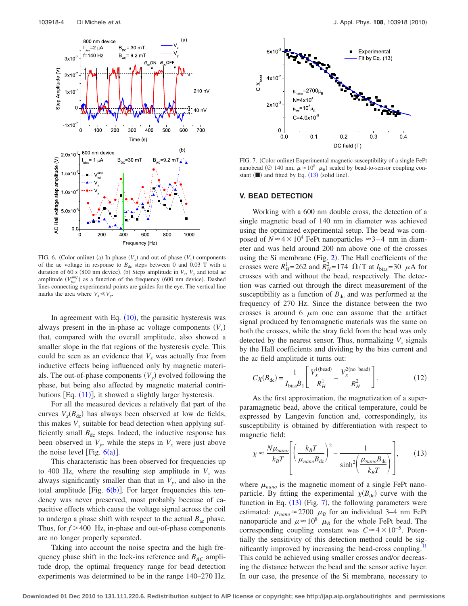<span id="page-3-0"></span>

FIG. 6. (Color online) (a) In-phase  $(V_x)$  and out-of-phase  $(V_y)$  components of the ac voltage in response to  $B_{dc}$  steps between 0 and 0.03 T with a duration of 60 s (800 nm device). (b) Steps amplitude in  $V_x$ ,  $V_y$  and total ac amplitude  $(V_{tot}^{amp})$  as a function of the frequency (600 nm device). Dashed lines connecting experimental points are guides for the eye. The vertical line marks the area where  $V_x \ll V_y$ .

In agreement with Eq.  $(10)$  $(10)$  $(10)$ , the parasitic hysteresis was always present in the in-phase ac voltage components  $(V_x)$ that, compared with the overall amplitude, also showed a smaller slope in the flat regions of the hysteresis cycle. This could be seen as an evidence that  $V_x$  was actually free from inductive effects being influenced only by magnetic materials. The out-of-phase components  $(V_y)$  evolved following the phase, but being also affected by magnetic material contributions  $[Eq. (11)]$  $[Eq. (11)]$  $[Eq. (11)]$ , it showed a slightly larger hysteresis.

For all the measured devices a relatively flat part of the curves  $V_x(B_{dc})$  has always been observed at low dc fields, this makes  $V_x$  suitable for bead detection when applying sufficiently small  $B_{dc}$  steps. Indeed, the inductive response has been observed in  $V_y$ , while the steps in  $V_x$  were just above the noise level [Fig.  $6(a)$  $6(a)$ ].

This characteristic has been observed for frequencies up to 400 Hz, where the resulting step amplitude in  $V_x$  was always significantly smaller than that in  $V_y$ , and also in the total amplitude [Fig.  $6(b)$  $6(b)$ ]. For larger frequencies this tendency was never preserved, most probably because of capacitive effects which cause the voltage signal across the coil to undergo a phase shift with respect to the actual  $B_{ac}$  phase. Thus, for  $f$   $>$  400 Hz, in-phase and out-of-phase components are no longer properly separated.

Taking into account the noise spectra and the high frequency phase shift in the lock-ins reference and  $B_{AC}$  amplitude drop, the optimal frequency range for bead detection experiments was determined to be in the range 140–270 Hz.

<span id="page-3-2"></span>

FIG. 7. (Color online) Experimental magnetic susceptibility of a single FePt nanobead ( $\varnothing$  140 nm,  $\mu \approx 10^8$   $\mu_B$ ) scaled by bead-to-sensor coupling constant  $(\blacksquare)$  and fitted by Eq. ([13](#page-3-1)) (solid line).

#### **V. BEAD DETECTION**

Working with a 600 nm double cross, the detection of a single magnetic bead of 140 nm in diameter was achieved using the optimized experimental setup. The bead was composed of  $N \approx 4 \times 10^4$  FePt nanoparticles  $\approx 3-4$  nm in diameter and was held around 200 nm above one of the crosses using the Si membrane (Fig. [2](#page-1-1)). The Hall coefficients of the crosses were  $R_H^1 = 262$  and  $R_H^2 = 174 \Omega/T$  at  $I_{bias} = 30 \mu A$  for crosses with and without the bead, respectively. The detection was carried out through the direct measurement of the susceptibility as a function of  $B_{dc}$  and was performed at the frequency of 270 Hz. Since the distance between the two crosses is around 6  $\mu$ m one can assume that the artifact signal produced by ferromagnetic materials was the same on both the crosses, while the stray field from the bead was only detected by the nearest sensor. Thus, normalizing  $V_x$  signals by the Hall coefficients and dividing by the bias current and the ac field amplitude it turns out:

<span id="page-3-3"></span>
$$
C\chi(B_{\rm dc}) = \frac{1}{I_{\rm bias}B_1} \left[ \frac{V_x^{1(\rm bead)}}{R_H^1} - \frac{V_x^{2(\rm no\ bead)}}{R_H^2} \right].
$$
 (12)

As the first approximation, the magnetization of a superparamagnetic bead, above the critical temperature, could be expressed by Langevin function and, correspondingly, its susceptibility is obtained by differentiation with respect to magnetic field:

<span id="page-3-1"></span>
$$
\chi \approx \frac{N\mu_{nano}}{k_B T} \left( \frac{k_B T}{\mu_{nano} B_{\rm dc}} \right)^2 - \frac{1}{\sinh^2 \left( \frac{\mu_{nano} B_{\rm dc}}{k_B T} \right)} \right), \qquad (13)
$$

where  $\mu_{nano}$  is the magnetic moment of a single FePt nanoparticle. By fitting the experimental  $\chi(B_{\text{dc}})$  curve with the function in Eq.  $(13)$  $(13)$  $(13)$  (Fig. [7](#page-3-2)), the following parameters were estimated:  $\mu_{nano} \approx 2700 \mu_B$  for an individual 3–4 nm FePt nanoparticle and  $\mu \approx 10^8$   $\mu_B$  for the whole FePt bead. The corresponding coupling constant was  $C \approx 4 \times 10^{-5}$ . Potentially the sensitivity of this detection method could be significantly improved by increasing the bead-cross coupling[.11](#page-4-9) This could be achieved using smaller crosses and/or decreasing the distance between the bead and the sensor active layer. In our case, the presence of the Si membrane, necessary to